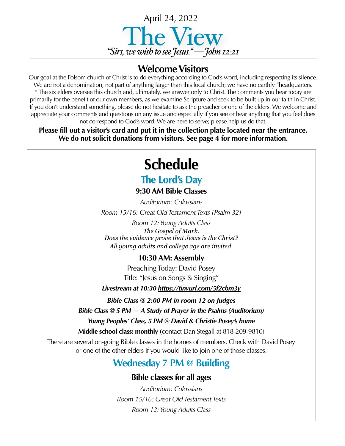

### **Welcome Visitors**

Our goal at the Folsom church of Christ is to do everything according to God's word, including respecting its silence. We are not a denomination, not part of anything larger than this local church; we have no earthly "headquarters. " The six elders oversee this church and, ultimately, we answer only to Christ. The comments you hear today are primarily for the benefit of our own members, as we examine Scripture and seek to be built up in our faith in Christ. If you don't understand something, please do not hesitate to ask the preacher or one of the elders. We welcome and appreciate your comments and questions on any issue and especially if you see or hear anything that you feel does not correspond to God's word. We are here to serve; please help us do that.

**Please fill out a visitor's card and put it in the collection plate located near the entrance. We do not solicit donations from visitors. See page 4 for more information.**

# **Schedule**

## **The Lord's Day**

**9:30 AM Bible Classes**

*Auditorium: Colossians Room 15/16: Great Old Testament Texts (Psalm 32)*

*Room 12: Young Adults Class The Gospel of Mark. Does the evidence prove that Jesus is the Christ? All young adults and college age are invited*.

#### **10:30 AM: Assembly**

Preaching Today: David Posey Title: "Jesus on Songs & Singing"

*Livestream at 10:30 <https://tinyurl.com/5f2cbm3y>*

*Bible Class @ 2:00 PM in room 12 on Judges*

*Bible Class @ 5 PM — A Study of Prayer in the Psalms (Auditorium)*

*Young Peoples' Class, 5 PM @ David & Christie Posey's home* 

**Middle school class: monthly (**contact Dan Stegall at 818-209-9810)

There are several on-going Bible classes in the homes of members. Check with David Posey or one of the other elders if you would like to join one of those classes.

## **Wednesday 7 PM @ Building**

#### **Bible classes for all ages**

*Auditorium: Colossians Room 15/16: Great Old Testament Texts Room 12: Young Adults Class*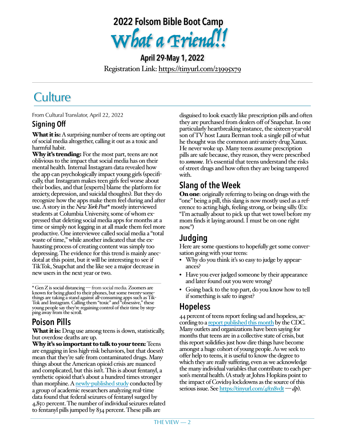

**April 29-May 1, 2022** Registration Link: <https://tinyurl.com/23995x79>

## **Culture**

From Cultural Translator, April 22, 2022

#### **Signing Off**

**What it is:** A surprising number of teens are opting out of social media altogether, calling it out as a toxic and harmful habit.

Why it's trending: For the most part, teens are not oblivious to the impact that social media has on their mental health. Internal Instagram data revealed how the app can psychologically impact young girls (specifically, that Instagram makes teen girls feel worse about their bodies, and that [experts] blame the platform for anxiety, depression, and suicidal thoughts). But they do recognize how the apps make them feel during and after use. A story in the *New York Post\** mostly interviewed students at Columbia University, some of whom expressed that deleting social media apps for months at a time or simply not logging in at all made them feel more productive. One interviewee called social media a "total waste of time," while another indicated that the exhausting process of creating content was simply too depressing. The evidence for this trend is mainly anecdotal at this point, but it will be interesting to see if TikTok, Snapchat and the like see a major decrease in new users in the next year or two.

\* Gen Z is social distancing — from social media. Zoomers are things are taking a stand against all-consuming apps such as Tik-<br>Tok and Instagram. Calling them "toxic" and "obsessive," these young people say they're regaining control of their time by step- ping away from the scroll.

## **Poison Pills**

What it is: Drug use among teens is down, statistically, but overdose deaths are up.

Why it's so important to talk to your teen: Teens are engaging in less high-risk behaviors, but that doesn't mean that they're safe from contaminated drugs. Many things about the American opioid crisis are nuanced and complicated, but this isn't. This is about fentanyl, a synthetic opioid that's about a hundred times stronger than morphine. A newly-[published study](https://info.axis.org/e3t/Ctc/2J+113/ctRz004/VW8SLY6WBX01W21CB-w6P3L9zV1-ywc4J9VNfN4HzmfZ3q3phV1-WJV7CgK_TN5vXCcdY-03CW1KwJ8b5HBBVWW5hhFgj6z3ZJrN9fvgsMGfWrDW4nFwZn5TvQfqW7XqrVt452C1bW695nrk8jtvFdW1t-Wtl6cCwHMW4Dvm0P1F8BzWW4ZRhqC7m9nX-W8pTzZD8Rk9H-W70gWC76bnJvQW7z7RWS8Z-6g0W3jVKg97HPJqqW4vk08T3g1BlyW30j5XQ28MXcFW5WgvP_2BQvl-Vb2fK01qsv0yW3k0TWV6W_p6KN3jygpwmQhs_W6-dpZ12lzmGMW8lhSPB55n5FDW5BXJLH1TtyvHW9ch-976fMnLYW5w8KqV36C3hgW6swHb23jKCvMVF3Nvp8bqF3mW4q7mPP8D6s7T3fFh1) conducted by a group of academic researchers analyzing real-time data found that federal seizures of fentanyl surged by 4,850 percent. The number of individual seizures related to fentanyl pills jumped by 834 percent. These pills are

disguised to look exactly like prescription pills and often they are purchased from dealers off of Snapchat. In one particularly heartbreaking instance, the sixteen-year-old son of TV host Laura Berman took a single pill of what he thought was the common anti-anxiety drug Xanax. He never woke up. Many teens assume prescription pills are safe because, they reason, they were prescribed to *someone*. It's essential that teens understand the risks of street drugs and how often they are being tampered with.

## **Slang of the Week**

On one: originally referring to being on drugs with the "one" being a pill, this slang is now mostly used as a reference to acting high, feeling strong, or being silly. (Ex: "I'm actually about to pick up that wet towel before my mom finds it laying around. I must be on one right now.")

## **Judging**

Here are some questions to hopefully get some conversation going with your teens:

- Why do you think it's so easy to judge by appearances?
- Have you ever judged someone by their appearance and later found out you were wrong?
- Going back to the top part, do you know how to tell if something is safe to ingest?

#### **Hopeless**

44 percent of teens report feeling sad and hopeless, according to a [report published this month](https://info.axis.org/e3t/Ctc/2J+113/ctRz004/VW8SLY6WBX01W21CB-w6P3L9zV1-ywc4J9VNfN4HzmfG3q3n_V1-WJV7CgFGZW9bbTJM6nLXwdN25VMjMFHTqZW8YGscn7RSX14W63FdtW4DrnfPW7vGJsJ1k-cl9N56qyrmWjp45W8d1l9v7N9rTXF6wXvvPS1jMVrpYFq5bW5z0W3Vt7rF1mBQGSW6yWcxt13vzkDVjZ5sz1bZ-1TW8cs4pR4FBS5hW4-1jh86_F4p5W4zrZyK9hGhqgW3RYns_6cD9YsW1rcYgB29lLJ8N7HxsMwfVLbPW8h5Vzc5td6VGW97xRWD69LkGPW6_Tp1h4jkRsKW8CrXqG4CNBZwW8JkKly52gHBnW54Jwzy7NV--bW4_K9v47V8KWVW2qdYwx1ZbPG73cnQ1) by the CDC. Many outlets and organizations have been saying for months that teens are in a collective state of crisis, but this report solidifies just how dire things have become amongst a huge cohort of young people. As we seek to offer help to teens, it is useful to know the degree to which they are really suffering, even as we acknowledge the many individual variables that contribute to each person's mental health. (A study at Johns Hopkins point to the impact of Covid19 lockdowns as the source of this serious issue. See<https://tinyurl.com/4ftn8vdt>—*dp*).